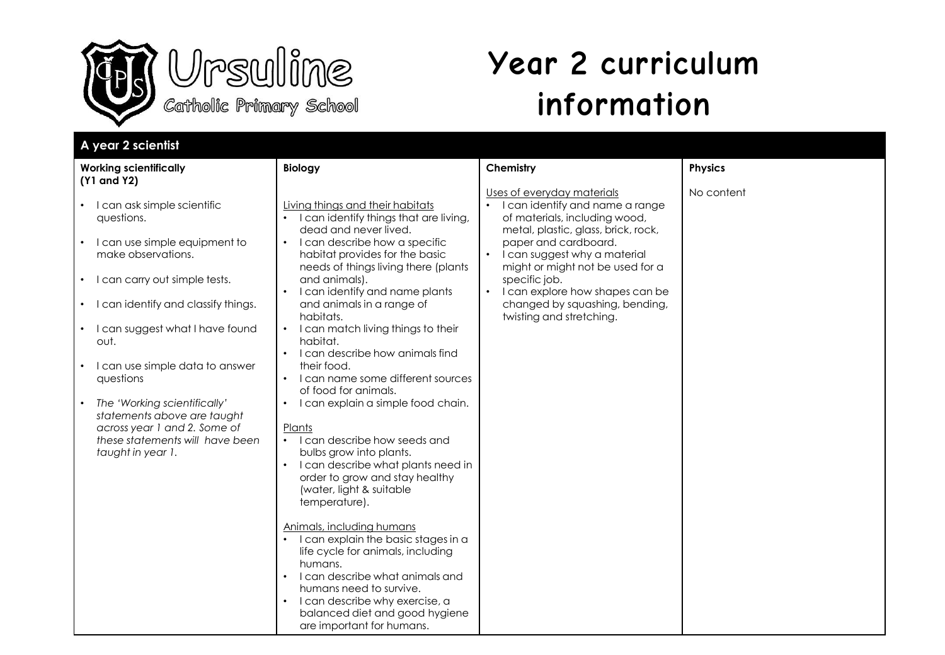



## **Year 2 curriculum information**

| A year 2 scientist                                                                                                                                                                                                                                                                                                                                                                                                                                                                    |                                                                                                                                                                                                                                                                                                                                                                                                                                                                                                                                                                                                                                                                                                                                                                                                                                                                                                                                                                                                                                                       |                                                                                                                                                                                                                                                                                                                                                         |                |
|---------------------------------------------------------------------------------------------------------------------------------------------------------------------------------------------------------------------------------------------------------------------------------------------------------------------------------------------------------------------------------------------------------------------------------------------------------------------------------------|-------------------------------------------------------------------------------------------------------------------------------------------------------------------------------------------------------------------------------------------------------------------------------------------------------------------------------------------------------------------------------------------------------------------------------------------------------------------------------------------------------------------------------------------------------------------------------------------------------------------------------------------------------------------------------------------------------------------------------------------------------------------------------------------------------------------------------------------------------------------------------------------------------------------------------------------------------------------------------------------------------------------------------------------------------|---------------------------------------------------------------------------------------------------------------------------------------------------------------------------------------------------------------------------------------------------------------------------------------------------------------------------------------------------------|----------------|
| <b>Working scientifically</b><br>(Y1 and Y2)                                                                                                                                                                                                                                                                                                                                                                                                                                          | <b>Biology</b>                                                                                                                                                                                                                                                                                                                                                                                                                                                                                                                                                                                                                                                                                                                                                                                                                                                                                                                                                                                                                                        | Chemistry                                                                                                                                                                                                                                                                                                                                               | <b>Physics</b> |
| I can ask simple scientific<br>$\bullet$<br>questions.<br>I can use simple equipment to<br>$\bullet$<br>make observations.<br>• I can carry out simple tests.<br>I can identify and classify things.<br>٠<br>I can suggest what I have found<br>out.<br>I can use simple data to answer<br>$\bullet$<br>questions<br>The 'Working scientifically'<br>$\bullet$<br>statements above are taught<br>across year 1 and 2. Some of<br>these statements will have been<br>taught in year 1. | Living things and their habitats<br>I can identify things that are living,<br>dead and never lived.<br>I can describe how a specific<br>$\bullet$<br>habitat provides for the basic<br>needs of things living there (plants<br>and animals).<br>I can identify and name plants<br>and animals in a range of<br>habitats.<br>I can match living things to their<br>habitat.<br>I can describe how animals find<br>their food.<br>I can name some different sources<br>of food for animals.<br>I can explain a simple food chain.<br>$\bullet$<br>Plants<br>• I can describe how seeds and<br>bulbs grow into plants.<br>I can describe what plants need in<br>order to grow and stay healthy<br>(water, light & suitable<br>temperature).<br>Animals, including humans<br>I can explain the basic stages in a<br>$\bullet$<br>life cycle for animals, including<br>humans.<br>I can describe what animals and<br>humans need to survive.<br>I can describe why exercise, a<br>$\bullet$<br>balanced diet and good hygiene<br>are important for humans. | Uses of everyday materials<br>I can identify and name a range<br>of materials, including wood,<br>metal, plastic, glass, brick, rock,<br>paper and cardboard.<br>• I can suggest why a material<br>might or might not be used for a<br>specific job.<br>• I can explore how shapes can be<br>changed by squashing, bending,<br>twisting and stretching. | No content     |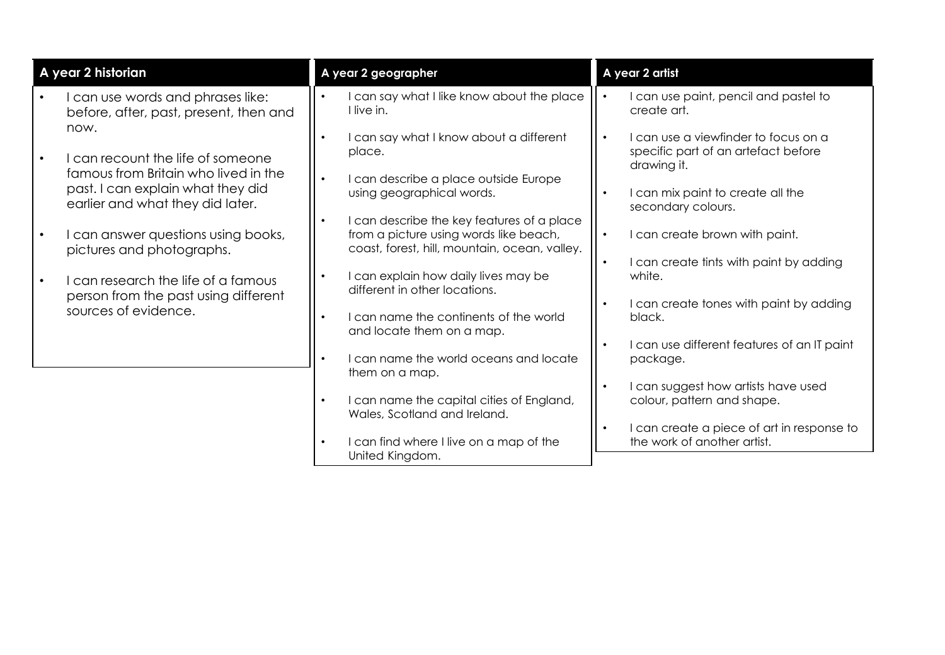| A year 2 historian                                                        | A year 2 geographer                                                                     | A year 2 artist                                                             |
|---------------------------------------------------------------------------|-----------------------------------------------------------------------------------------|-----------------------------------------------------------------------------|
| can use words and phrases like:<br>before, after, past, present, then and | I can say what I like know about the place<br>I live in.                                | I can use paint, pencil and pastel to<br>create art.                        |
| now.<br>can recount the life of someone                                   | I can say what I know about a different<br>place.                                       | I can use a viewfinder to focus on a<br>specific part of an artefact before |
| famous from Britain who lived in the<br>past. I can explain what they did | I can describe a place outside Europe<br>$\bullet$<br>using geographical words.         | drawing it.<br>I can mix paint to create all the                            |
| earlier and what they did later.                                          | I can describe the key features of a place                                              | secondary colours.<br>I can create brown with paint.                        |
| can answer questions using books,<br>pictures and photographs.            | from a picture using words like beach,<br>coast, forest, hill, mountain, ocean, valley. | I can create tints with paint by adding                                     |
| can research the life of a famous<br>person from the past using different | I can explain how daily lives may be<br>different in other locations.                   | white.<br>I can create tones with paint by adding                           |
| sources of evidence.                                                      | I can name the continents of the world<br>and locate them on a map.                     | black.                                                                      |
|                                                                           | I can name the world oceans and locate                                                  | I can use different features of an IT paint<br>package.                     |
|                                                                           | them on a map.<br>I can name the capital cities of England,                             | I can suggest how artists have used<br>colour, pattern and shape.           |
|                                                                           | Wales, Scotland and Ireland.                                                            | I can create a piece of art in response to                                  |
|                                                                           | I can find where I live on a map of the<br>United Kingdom.                              | the work of another artist.                                                 |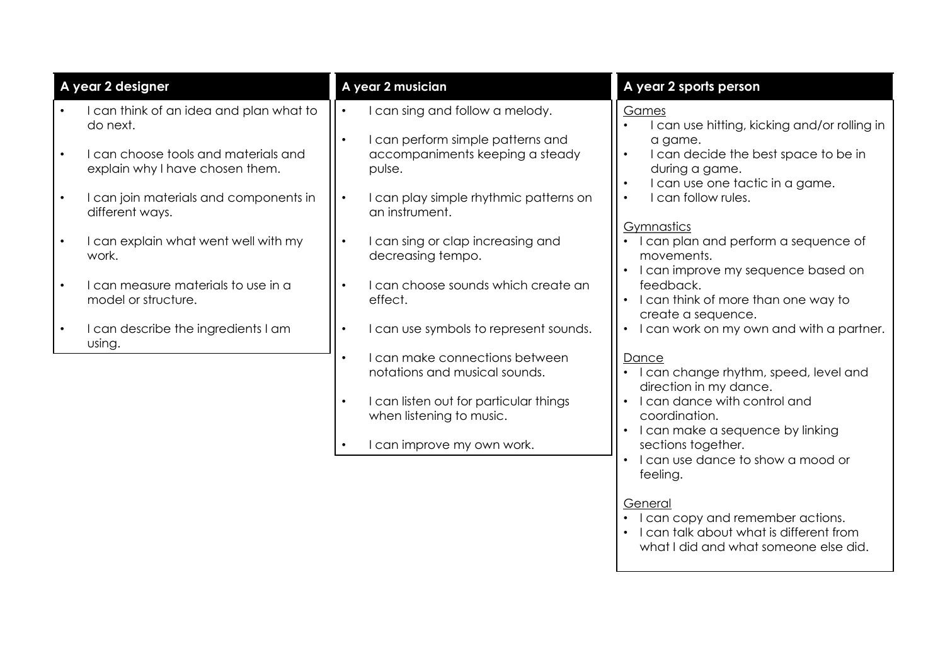| A year 2 designer |                                                                         | A year 2 musician |                                                                                | A year 2 sports person                                                                                            |
|-------------------|-------------------------------------------------------------------------|-------------------|--------------------------------------------------------------------------------|-------------------------------------------------------------------------------------------------------------------|
|                   | I can think of an idea and plan what to<br>do next.                     |                   | can sing and follow a melody.                                                  | Games<br>I can use hitting, kicking and/or rolling in                                                             |
| $\bullet$         | I can choose tools and materials and<br>explain why I have chosen them. |                   | I can perform simple patterns and<br>accompaniments keeping a steady<br>pulse. | a game.<br>I can decide the best space to be in<br>$\bullet$<br>during a game.<br>I can use one tactic in a game. |
| $\bullet$         | I can join materials and components in<br>different ways.               |                   | I can play simple rhythmic patterns on<br>an instrument.                       | I can follow rules.<br>$\bullet$                                                                                  |
| $\bullet$         | I can explain what went well with my<br>work.                           |                   | I can sing or clap increasing and<br>decreasing tempo.                         | Gymnastics<br>I can plan and perform a sequence of<br>movements.<br>I can improve my sequence based on            |
|                   | I can measure materials to use in a<br>model or structure.              |                   | can choose sounds which create an<br>effect.                                   | feedback.<br>I can think of more than one way to<br>create a sequence.                                            |
|                   | I can describe the ingredients I am<br>using.                           |                   | I can use symbols to represent sounds.                                         | I can work on my own and with a partner.<br>$\bullet$                                                             |
|                   |                                                                         |                   | I can make connections between<br>notations and musical sounds.                | Dance<br>I can change rhythm, speed, level and<br>direction in my dance.                                          |
|                   |                                                                         | $\bullet$         | I can listen out for particular things<br>when listening to music.             | I can dance with control and<br>$\bullet$<br>coordination.<br>I can make a sequence by linking                    |
|                   |                                                                         |                   | can improve my own work.                                                       | sections together.<br>I can use dance to show a mood or<br>feeling.                                               |
|                   |                                                                         |                   |                                                                                | General<br>I can copy and remember actions.<br>I can talk about what is different from<br>$\bullet$               |

what I did and what someone else did.